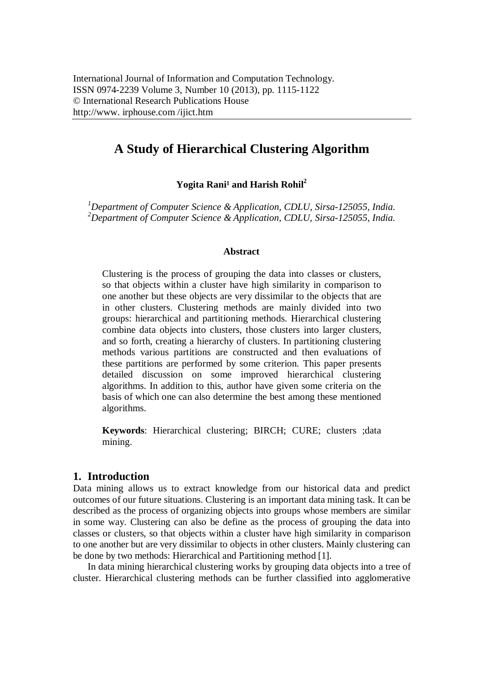# **A Study of Hierarchical Clustering Algorithm**

**Yogita Rani<sup>1</sup> and Harish Rohil<sup>2</sup>** 

*<sup>1</sup>Department of Computer Science & Application, CDLU, Sirsa-125055, India. <sup>2</sup>Department of Computer Science & Application, CDLU, Sirsa-125055, India.*

#### **Abstract**

Clustering is the process of grouping the data into classes or clusters, so that objects within a cluster have high similarity in comparison to one another but these objects are very dissimilar to the objects that are in other clusters. Clustering methods are mainly divided into two groups: hierarchical and partitioning methods. Hierarchical clustering combine data objects into clusters, those clusters into larger clusters, and so forth, creating a hierarchy of clusters. In partitioning clustering methods various partitions are constructed and then evaluations of these partitions are performed by some criterion. This paper presents detailed discussion on some improved hierarchical clustering algorithms. In addition to this, author have given some criteria on the basis of which one can also determine the best among these mentioned algorithms.

**Keywords**: Hierarchical clustering; BIRCH; CURE; clusters ;data mining.

## **1. Introduction**

Data mining allows us to extract knowledge from our historical data and predict outcomes of our future situations. Clustering is an important data mining task. It can be described as the process of organizing objects into groups whose members are similar in some way. Clustering can also be define as the process of grouping the data into classes or clusters, so that objects within a cluster have high similarity in comparison to one another but are very dissimilar to objects in other clusters. Mainly clustering can be done by two methods: Hierarchical and Partitioning method [1].

In data mining hierarchical clustering works by grouping data objects into a tree of cluster. Hierarchical clustering methods can be further classified into agglomerative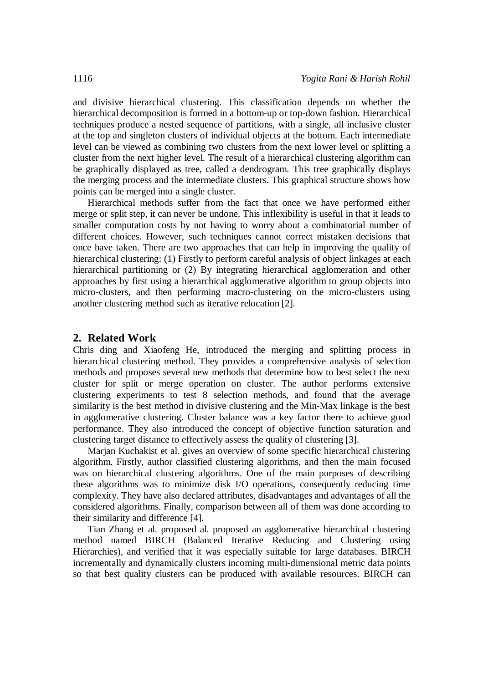and divisive hierarchical clustering. This classification depends on whether the hierarchical decomposition is formed in a bottom-up or top-down fashion. Hierarchical techniques produce a nested sequence of partitions, with a single, all inclusive cluster at the top and singleton clusters of individual objects at the bottom. Each intermediate level can be viewed as combining two clusters from the next lower level or splitting a cluster from the next higher level. The result of a hierarchical clustering algorithm can be graphically displayed as tree, called a dendrogram. This tree graphically displays the merging process and the intermediate clusters. This graphical structure shows how points can be merged into a single cluster.

Hierarchical methods suffer from the fact that once we have performed either merge or split step, it can never be undone. This inflexibility is useful in that it leads to smaller computation costs by not having to worry about a combinatorial number of different choices. However, such techniques cannot correct mistaken decisions that once have taken. There are two approaches that can help in improving the quality of hierarchical clustering: (1) Firstly to perform careful analysis of object linkages at each hierarchical partitioning or (2) By integrating hierarchical agglomeration and other approaches by first using a hierarchical agglomerative algorithm to group objects into micro-clusters, and then performing macro-clustering on the micro-clusters using another clustering method such as iterative relocation [2].

## **2. Related Work**

Chris ding and Xiaofeng He, introduced the merging and splitting process in hierarchical clustering method. They provides a comprehensive analysis of selection methods and proposes several new methods that determine how to best select the next cluster for split or merge operation on cluster. The author performs extensive clustering experiments to test 8 selection methods, and found that the average similarity is the best method in divisive clustering and the Min-Max linkage is the best in agglomerative clustering. Cluster balance was a key factor there to achieve good performance. They also introduced the concept of objective function saturation and clustering target distance to effectively assess the quality of clustering [3].

Marjan Kuchakist et al. gives an overview of some specific hierarchical clustering algorithm. Firstly, author classified clustering algorithms, and then the main focused was on hierarchical clustering algorithms. One of the main purposes of describing these algorithms was to minimize disk I/O operations, consequently reducing time complexity. They have also declared attributes, disadvantages and advantages of all the considered algorithms. Finally, comparison between all of them was done according to their similarity and difference [4].

Tian Zhang et al. proposed al. proposed an agglomerative hierarchical clustering method named BIRCH (Balanced Iterative Reducing and Clustering using Hierarchies), and verified that it was especially suitable for large databases. BIRCH incrementally and dynamically clusters incoming multi-dimensional metric data points so that best quality clusters can be produced with available resources. BIRCH can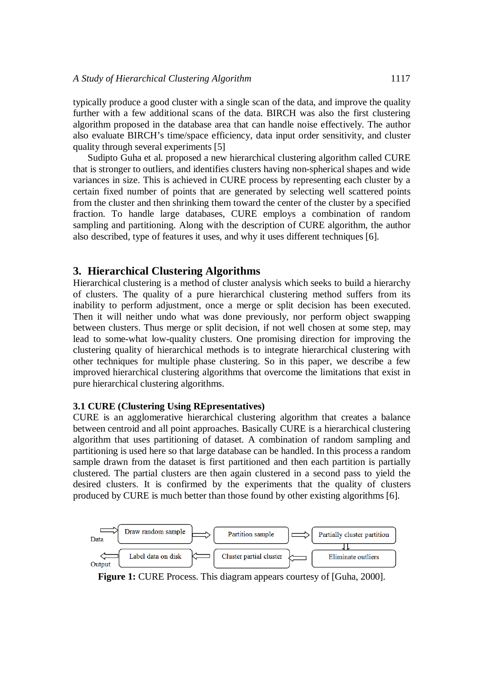typically produce a good cluster with a single scan of the data, and improve the quality further with a few additional scans of the data. BIRCH was also the first clustering algorithm proposed in the database area that can handle noise effectively. The author also evaluate BIRCH's time/space efficiency, data input order sensitivity, and cluster quality through several experiments [5]

Sudipto Guha et al. proposed a new hierarchical clustering algorithm called CURE that is stronger to outliers, and identifies clusters having non-spherical shapes and wide variances in size. This is achieved in CURE process by representing each cluster by a certain fixed number of points that are generated by selecting well scattered points from the cluster and then shrinking them toward the center of the cluster by a specified fraction. To handle large databases, CURE employs a combination of random sampling and partitioning. Along with the description of CURE algorithm, the author also described, type of features it uses, and why it uses different techniques [6].

## **3. Hierarchical Clustering Algorithms**

Hierarchical clustering is a method of cluster analysis which seeks to build a hierarchy of clusters. The quality of a pure hierarchical clustering method suffers from its inability to perform adjustment, once a merge or split decision has been executed. Then it will neither undo what was done previously, nor perform object swapping between clusters. Thus merge or split decision, if not well chosen at some step, may lead to some-what low-quality clusters. One promising direction for improving the clustering quality of hierarchical methods is to integrate hierarchical clustering with other techniques for multiple phase clustering. So in this paper, we describe a few improved hierarchical clustering algorithms that overcome the limitations that exist in pure hierarchical clustering algorithms.

## **3.1 CURE (Clustering Using REpresentatives)**

CURE is an agglomerative hierarchical clustering algorithm that creates a balance between centroid and all point approaches. Basically CURE is a hierarchical clustering algorithm that uses partitioning of dataset. A combination of random sampling and partitioning is used here so that large database can be handled. In this process a random sample drawn from the dataset is first partitioned and then each partition is partially clustered. The partial clusters are then again clustered in a second pass to yield the desired clusters. It is confirmed by the experiments that the quality of clusters produced by CURE is much better than those found by other existing algorithms [6].



**Figure 1:** CURE Process. This diagram appears courtesy of [Guha, 2000].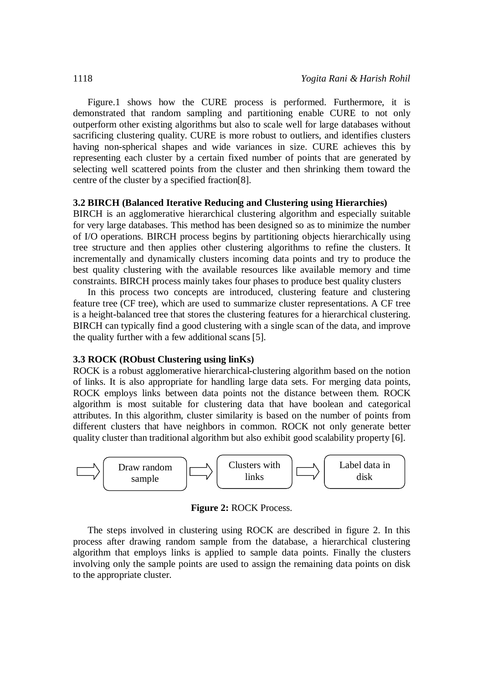Figure.1 shows how the CURE process is performed. Furthermore, it is demonstrated that random sampling and partitioning enable CURE to not only outperform other existing algorithms but also to scale well for large databases without sacrificing clustering quality. CURE is more robust to outliers, and identifies clusters having non-spherical shapes and wide variances in size. CURE achieves this by representing each cluster by a certain fixed number of points that are generated by selecting well scattered points from the cluster and then shrinking them toward the centre of the cluster by a specified fraction[8].

#### **3.2 BIRCH (Balanced Iterative Reducing and Clustering using Hierarchies)**

BIRCH is an agglomerative hierarchical clustering algorithm and especially suitable for very large databases. This method has been designed so as to minimize the number of I/O operations. BIRCH process begins by partitioning objects hierarchically using tree structure and then applies other clustering algorithms to refine the clusters. It incrementally and dynamically clusters incoming data points and try to produce the best quality clustering with the available resources like available memory and time constraints. BIRCH process mainly takes four phases to produce best quality clusters

In this process two concepts are introduced, clustering feature and clustering feature tree (CF tree), which are used to summarize cluster representations. A CF tree is a height-balanced tree that stores the clustering features for a hierarchical clustering. BIRCH can typically find a good clustering with a single scan of the data, and improve the quality further with a few additional scans [5].

#### **3.3 ROCK (RObust Clustering using linKs)**

ROCK is a robust agglomerative hierarchical-clustering algorithm based on the notion of links. It is also appropriate for handling large data sets. For merging data points, ROCK employs links between data points not the distance between them. ROCK algorithm is most suitable for clustering data that have boolean and categorical attributes. In this algorithm, cluster similarity is based on the number of points from different clusters that have neighbors in common. ROCK not only generate better quality cluster than traditional algorithm but also exhibit good scalability property [6].



**Figure 2:** ROCK Process.

The steps involved in clustering using ROCK are described in figure 2. In this process after drawing random sample from the database, a hierarchical clustering algorithm that employs links is applied to sample data points. Finally the clusters involving only the sample points are used to assign the remaining data points on disk to the appropriate cluster.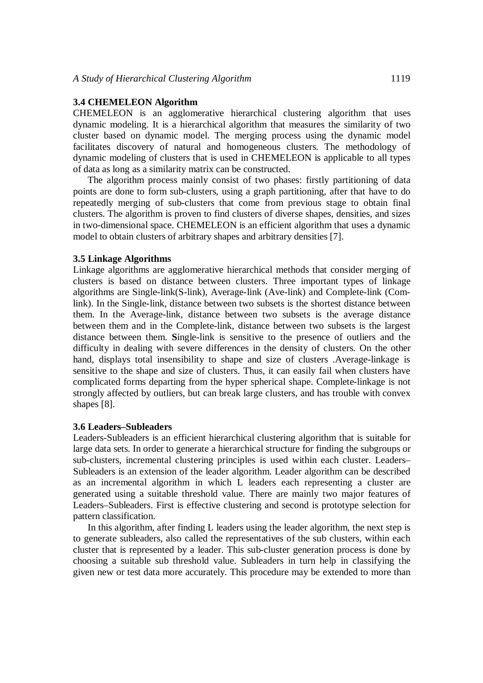#### **3.4 CHEMELEON Algorithm**

CHEMELEON is an agglomerative hierarchical clustering algorithm that uses dynamic modeling. It is a hierarchical algorithm that measures the similarity of two cluster based on dynamic model. The merging process using the dynamic model facilitates discovery of natural and homogeneous clusters. The methodology of dynamic modeling of clusters that is used in CHEMELEON is applicable to all types of data as long as a similarity matrix can be constructed.

The algorithm process mainly consist of two phases: firstly partitioning of data points are done to form sub-clusters, using a graph partitioning, after that have to do repeatedly merging of sub-clusters that come from previous stage to obtain final clusters. The algorithm is proven to find clusters of diverse shapes, densities, and sizes in two-dimensional space. CHEMELEON is an efficient algorithm that uses a dynamic model to obtain clusters of arbitrary shapes and arbitrary densities [7].

#### **3.5 Linkage Algorithms**

Linkage algorithms are agglomerative hierarchical methods that consider merging of clusters is based on distance between clusters. Three important types of linkage algorithms are Single-link(S-link), Average-link (Ave-link) and Complete-link (Comlink). In the Single-link, distance between two subsets is the shortest distance between them. In the Average-link, distance between two subsets is the average distance between them and in the Complete-link, distance between two subsets is the largest distance between them. **S**ingle-link is sensitive to the presence of outliers and the difficulty in dealing with severe differences in the density of clusters. On the other hand, displays total insensibility to shape and size of clusters .Average-linkage is sensitive to the shape and size of clusters. Thus, it can easily fail when clusters have complicated forms departing from the hyper spherical shape. Complete-linkage is not strongly affected by outliers, but can break large clusters, and has trouble with convex shapes [8].

#### **3.6 Leaders–Subleaders**

Leaders-Subleaders is an efficient hierarchical clustering algorithm that is suitable for large data sets. In order to generate a hierarchical structure for finding the subgroups or sub-clusters, incremental clustering principles is used within each cluster. Leaders– Subleaders is an extension of the leader algorithm. Leader algorithm can be described as an incremental algorithm in which L leaders each representing a cluster are generated using a suitable threshold value. There are mainly two major features of Leaders–Subleaders. First is effective clustering and second is prototype selection for pattern classification.

In this algorithm, after finding L leaders using the leader algorithm, the next step is to generate subleaders, also called the representatives of the sub clusters, within each cluster that is represented by a leader. This sub-cluster generation process is done by choosing a suitable sub threshold value. Subleaders in turn help in classifying the given new or test data more accurately. This procedure may be extended to more than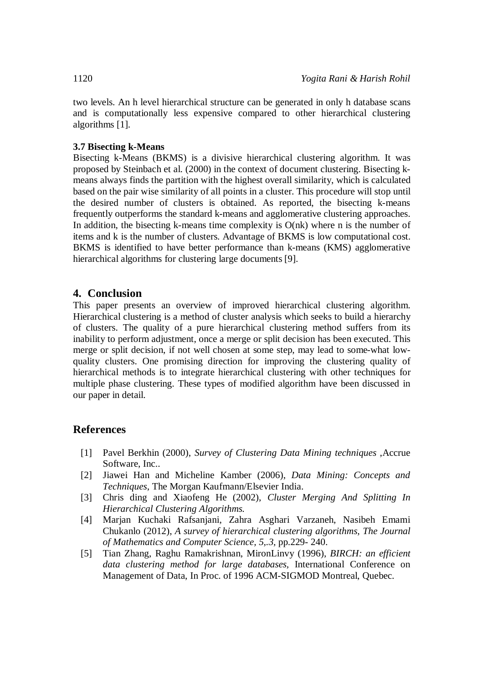two levels. An h level hierarchical structure can be generated in only h database scans and is computationally less expensive compared to other hierarchical clustering algorithms [1].

## **3.7 Bisecting k-Means**

Bisecting k-Means (BKMS) is a divisive hierarchical clustering algorithm. It was proposed by Steinbach et al. (2000) in the context of document clustering. Bisecting kmeans always finds the partition with the highest overall similarity, which is calculated based on the pair wise similarity of all points in a cluster. This procedure will stop until the desired number of clusters is obtained. As reported, the bisecting k-means frequently outperforms the standard k-means and agglomerative clustering approaches. In addition, the bisecting k-means time complexity is  $O(nk)$  where n is the number of items and k is the number of clusters. Advantage of BKMS is low computational cost. BKMS is identified to have better performance than k-means (KMS) agglomerative hierarchical algorithms for clustering large documents [9].

## **4. Conclusion**

This paper presents an overview of improved hierarchical clustering algorithm. Hierarchical clustering is a method of cluster analysis which seeks to build a hierarchy of clusters. The quality of a pure hierarchical clustering method suffers from its inability to perform adjustment, once a merge or split decision has been executed. This merge or split decision, if not well chosen at some step, may lead to some-what lowquality clusters. One promising direction for improving the clustering quality of hierarchical methods is to integrate hierarchical clustering with other techniques for multiple phase clustering. These types of modified algorithm have been discussed in our paper in detail.

## **References**

- [1] Pavel Berkhin (2000), *Survey of Clustering Data Mining techniques* ,Accrue Software, Inc..
- [2] Jiawei Han and Micheline Kamber (2006), *Data Mining: Concepts and Techniques*, The Morgan Kaufmann/Elsevier India.
- [3] Chris ding and Xiaofeng He (2002), *Cluster Merging And Splitting In Hierarchical Clustering Algorithms.*
- [4] Marjan Kuchaki Rafsanjani, Zahra Asghari Varzaneh, Nasibeh Emami Chukanlo (2012), *A survey of hierarchical clustering algorithms, The Journal of Mathematics and Computer Science, 5,.3,* pp.229- 240.
- [5] Tian Zhang, Raghu Ramakrishnan, MironLinvy (1996), *BIRCH: an efficient data clustering method for large databases,* International Conference on Management of Data, In Proc. of 1996 ACM-SIGMOD Montreal, Quebec.